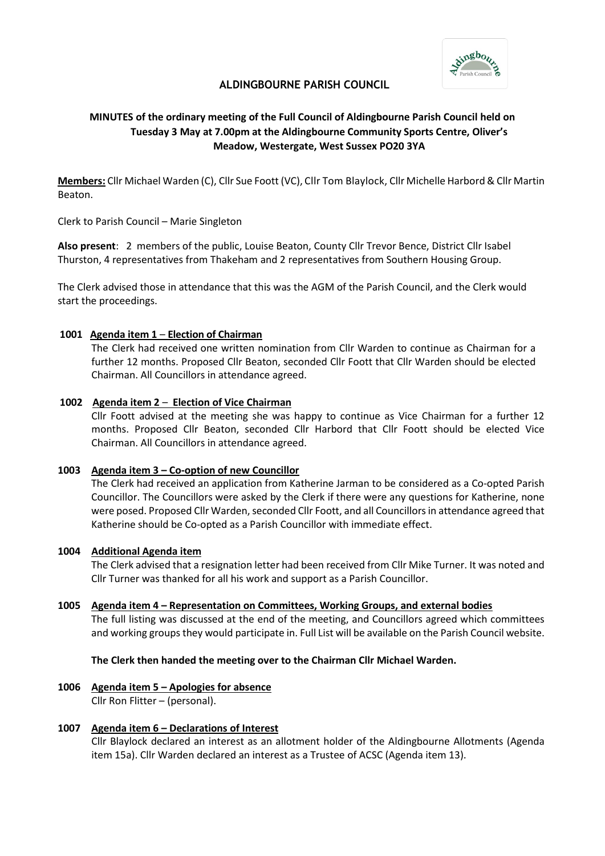

# **ALDINGBOURNE PARISH COUNCIL**

# **MINUTES of the ordinary meeting of the Full Council of Aldingbourne Parish Council held on Tuesday 3 May at 7.00pm at the Aldingbourne Community Sports Centre, Oliver's Meadow, Westergate, West Sussex PO20 3YA**

**Members:** Cllr Michael Warden (C), Cllr Sue Foott (VC), Cllr Tom Blaylock, Cllr Michelle Harbord & Cllr Martin Beaton.

Clerk to Parish Council – Marie Singleton

**Also present**: 2 members of the public, Louise Beaton, County Cllr Trevor Bence, District Cllr Isabel Thurston, 4 representatives from Thakeham and 2 representatives from Southern Housing Group.

The Clerk advised those in attendance that this was the AGM of the Parish Council, and the Clerk would start the proceedings.

## **1001 Agenda item 1** – **Election of Chairman**

The Clerk had received one written nomination from Cllr Warden to continue as Chairman for a further 12 months. Proposed Cllr Beaton, seconded Cllr Foott that Cllr Warden should be elected Chairman. All Councillors in attendance agreed.

## **1002 Agenda item 2** – **Election of Vice Chairman**

Cllr Foott advised at the meeting she was happy to continue as Vice Chairman for a further 12 months. Proposed Cllr Beaton, seconded Cllr Harbord that Cllr Foott should be elected Vice Chairman. All Councillors in attendance agreed.

## **1003 Agenda item 3 – Co-option of new Councillor**

The Clerk had received an application from Katherine Jarman to be considered as a Co-opted Parish Councillor. The Councillors were asked by the Clerk if there were any questions for Katherine, none were posed. Proposed Cllr Warden, seconded Cllr Foott, and all Councillors in attendance agreed that Katherine should be Co-opted as a Parish Councillor with immediate effect.

## **1004 Additional Agenda item**

The Clerk advised that a resignation letter had been received from Cllr Mike Turner. It was noted and Cllr Turner was thanked for all his work and support as a Parish Councillor.

## **1005 Agenda item 4 – Representation on Committees, Working Groups, and external bodies**

The full listing was discussed at the end of the meeting, and Councillors agreed which committees and working groups they would participate in. Full List will be available on the Parish Council website.

## **The Clerk then handed the meeting over to the Chairman Cllr Michael Warden.**

- **1006 Agenda item 5 Apologies for absence** Cllr Ron Flitter – (personal).
- **1007 Agenda item 6 Declarations of Interest**

Cllr Blaylock declared an interest as an allotment holder of the Aldingbourne Allotments (Agenda item 15a). Cllr Warden declared an interest as a Trustee of ACSC (Agenda item 13).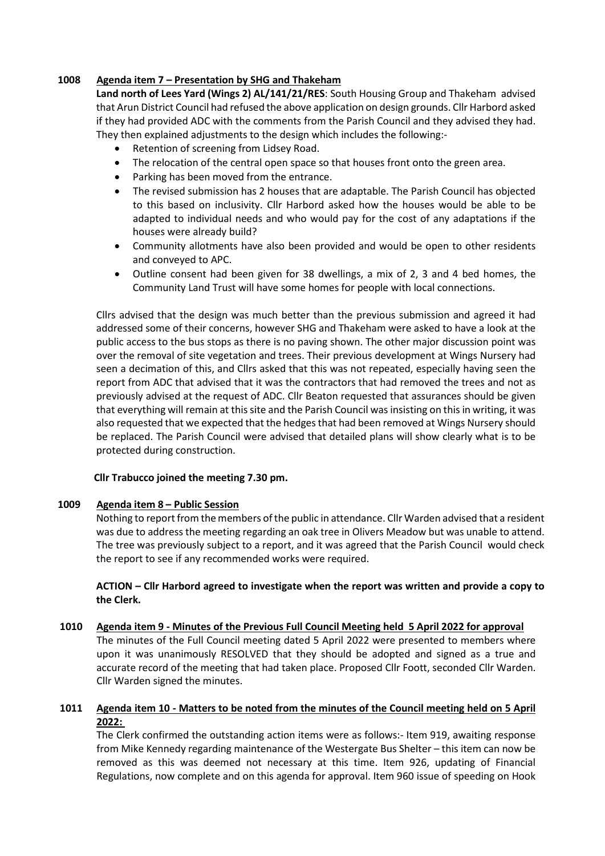## **1008 Agenda item 7 – Presentation by SHG and Thakeham**

**Land north of Lees Yard (Wings 2) AL/141/21/RES**: South Housing Group and Thakeham advised that Arun District Council had refused the above application on design grounds. Cllr Harbord asked if they had provided ADC with the comments from the Parish Council and they advised they had. They then explained adjustments to the design which includes the following:-

- Retention of screening from Lidsey Road.
- The relocation of the central open space so that houses front onto the green area.
- Parking has been moved from the entrance.
- The revised submission has 2 houses that are adaptable. The Parish Council has objected to this based on inclusivity. Cllr Harbord asked how the houses would be able to be adapted to individual needs and who would pay for the cost of any adaptations if the houses were already build?
- Community allotments have also been provided and would be open to other residents and conveyed to APC.
- Outline consent had been given for 38 dwellings, a mix of 2, 3 and 4 bed homes, the Community Land Trust will have some homes for people with local connections.

Cllrs advised that the design was much better than the previous submission and agreed it had addressed some of their concerns, however SHG and Thakeham were asked to have a look at the public access to the bus stops as there is no paving shown. The other major discussion point was over the removal of site vegetation and trees. Their previous development at Wings Nursery had seen a decimation of this, and Cllrs asked that this was not repeated, especially having seen the report from ADC that advised that it was the contractors that had removed the trees and not as previously advised at the request of ADC. Cllr Beaton requested that assurances should be given that everything will remain at this site and the Parish Council was insisting on this in writing, it was also requested that we expected that the hedges that had been removed at Wings Nursery should be replaced. The Parish Council were advised that detailed plans will show clearly what is to be protected during construction.

## **Cllr Trabucco joined the meeting 7.30 pm.**

## **1009 Agenda item 8 – Public Session**

Nothing to report from the members of the public in attendance. Cllr Warden advised that a resident was due to address the meeting regarding an oak tree in Olivers Meadow but was unable to attend. The tree was previously subject to a report, and it was agreed that the Parish Council would check the report to see if any recommended works were required.

**ACTION – Cllr Harbord agreed to investigate when the report was written and provide a copy to the Clerk.**

## **1010 Agenda item 9 - Minutes of the Previous Full Council Meeting held 5 April 2022 for approval**

The minutes of the Full Council meeting dated 5 April 2022 were presented to members where upon it was unanimously RESOLVED that they should be adopted and signed as a true and accurate record of the meeting that had taken place. Proposed Cllr Foott, seconded Cllr Warden. Cllr Warden signed the minutes.

## **1011 Agenda item 10 - Matters to be noted from the minutes of the Council meeting held on 5 April 2022:**

The Clerk confirmed the outstanding action items were as follows:- Item 919, awaiting response from Mike Kennedy regarding maintenance of the Westergate Bus Shelter – this item can now be removed as this was deemed not necessary at this time. Item 926, updating of Financial Regulations, now complete and on this agenda for approval. Item 960 issue of speeding on Hook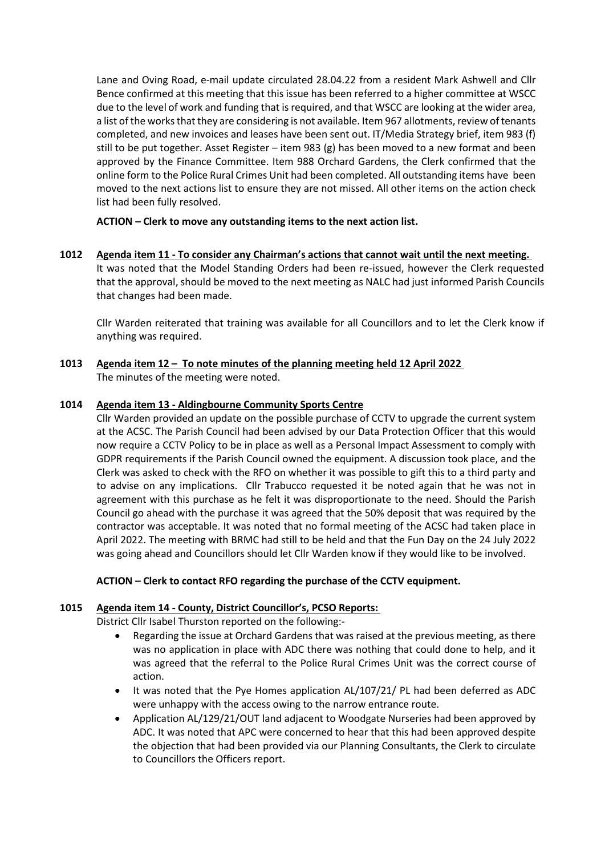Lane and Oving Road, e-mail update circulated 28.04.22 from a resident Mark Ashwell and Cllr Bence confirmed at this meeting that this issue has been referred to a higher committee at WSCC due to the level of work and funding that is required, and that WSCC are looking at the wider area, a list of the works that they are considering is not available. Item 967 allotments, review of tenants completed, and new invoices and leases have been sent out. IT/Media Strategy brief, item 983 (f) still to be put together. Asset Register – item 983 (g) has been moved to a new format and been approved by the Finance Committee. Item 988 Orchard Gardens, the Clerk confirmed that the online form to the Police Rural Crimes Unit had been completed. All outstanding items have been moved to the next actions list to ensure they are not missed. All other items on the action check list had been fully resolved.

# **ACTION – Clerk to move any outstanding items to the next action list.**

**1012 Agenda item 11 - To consider any Chairman's actions that cannot wait until the next meeting.** It was noted that the Model Standing Orders had been re-issued, however the Clerk requested that the approval, should be moved to the next meeting as NALC had just informed Parish Councils that changes had been made.

Cllr Warden reiterated that training was available for all Councillors and to let the Clerk know if anything was required.

# **1013 Agenda item 12 – To note minutes of the planning meeting held 12 April 2022**  The minutes of the meeting were noted.

## **1014 Agenda item 13 - Aldingbourne Community Sports Centre**

Cllr Warden provided an update on the possible purchase of CCTV to upgrade the current system at the ACSC. The Parish Council had been advised by our Data Protection Officer that this would now require a CCTV Policy to be in place as well as a Personal Impact Assessment to comply with GDPR requirements if the Parish Council owned the equipment. A discussion took place, and the Clerk was asked to check with the RFO on whether it was possible to gift this to a third party and to advise on any implications. Cllr Trabucco requested it be noted again that he was not in agreement with this purchase as he felt it was disproportionate to the need. Should the Parish Council go ahead with the purchase it was agreed that the 50% deposit that was required by the contractor was acceptable. It was noted that no formal meeting of the ACSC had taken place in April 2022. The meeting with BRMC had still to be held and that the Fun Day on the 24 July 2022 was going ahead and Councillors should let Cllr Warden know if they would like to be involved.

## **ACTION – Clerk to contact RFO regarding the purchase of the CCTV equipment.**

## **1015 Agenda item 14 - County, District Councillor's, PCSO Reports:**

District Cllr Isabel Thurston reported on the following:-

- Regarding the issue at Orchard Gardens that was raised at the previous meeting, as there was no application in place with ADC there was nothing that could done to help, and it was agreed that the referral to the Police Rural Crimes Unit was the correct course of action.
- It was noted that the Pye Homes application AL/107/21/ PL had been deferred as ADC were unhappy with the access owing to the narrow entrance route.
- Application AL/129/21/OUT land adjacent to Woodgate Nurseries had been approved by ADC. It was noted that APC were concerned to hear that this had been approved despite the objection that had been provided via our Planning Consultants, the Clerk to circulate to Councillors the Officers report.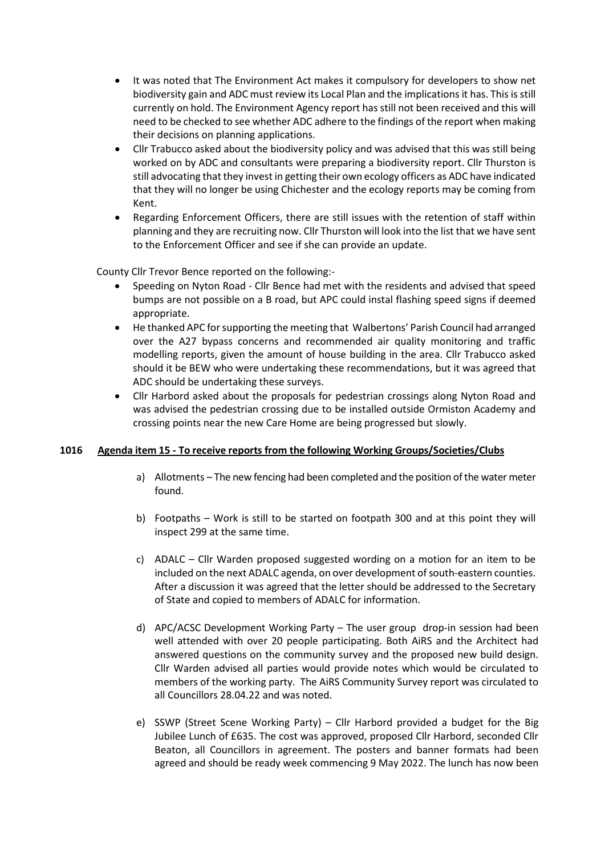- It was noted that The Environment Act makes it compulsory for developers to show net biodiversity gain and ADC must review its Local Plan and the implications it has. This is still currently on hold. The Environment Agency report has still not been received and this will need to be checked to see whether ADC adhere to the findings of the report when making their decisions on planning applications.
- Cllr Trabucco asked about the biodiversity policy and was advised that this was still being worked on by ADC and consultants were preparing a biodiversity report. Cllr Thurston is still advocating that they invest in getting their own ecology officers as ADC have indicated that they will no longer be using Chichester and the ecology reports may be coming from Kent.
- Regarding Enforcement Officers, there are still issues with the retention of staff within planning and they are recruiting now. Cllr Thurston will look into the list that we have sent to the Enforcement Officer and see if she can provide an update.

County Cllr Trevor Bence reported on the following:-

- Speeding on Nyton Road Cllr Bence had met with the residents and advised that speed bumps are not possible on a B road, but APC could instal flashing speed signs if deemed appropriate.
- He thanked APC for supporting the meeting that Walbertons' Parish Council had arranged over the A27 bypass concerns and recommended air quality monitoring and traffic modelling reports, given the amount of house building in the area. Cllr Trabucco asked should it be BEW who were undertaking these recommendations, but it was agreed that ADC should be undertaking these surveys.
- Cllr Harbord asked about the proposals for pedestrian crossings along Nyton Road and was advised the pedestrian crossing due to be installed outside Ormiston Academy and crossing points near the new Care Home are being progressed but slowly.

## **1016 Agenda item 15 - To receive reports from the following Working Groups/Societies/Clubs**

- a) Allotments The new fencing had been completed and the position of the water meter found.
- b) Footpaths Work is still to be started on footpath 300 and at this point they will inspect 299 at the same time.
- c) ADALC Cllr Warden proposed suggested wording on a motion for an item to be included on the next ADALC agenda, on over development of south-eastern counties. After a discussion it was agreed that the letter should be addressed to the Secretary of State and copied to members of ADALC for information.
- d) APC/ACSC Development Working Party The user group drop-in session had been well attended with over 20 people participating. Both AiRS and the Architect had answered questions on the community survey and the proposed new build design. Cllr Warden advised all parties would provide notes which would be circulated to members of the working party. The AiRS Community Survey report was circulated to all Councillors 28.04.22 and was noted.
- e) SSWP (Street Scene Working Party) Cllr Harbord provided a budget for the Big Jubilee Lunch of £635. The cost was approved, proposed Cllr Harbord, seconded Cllr Beaton, all Councillors in agreement. The posters and banner formats had been agreed and should be ready week commencing 9 May 2022. The lunch has now been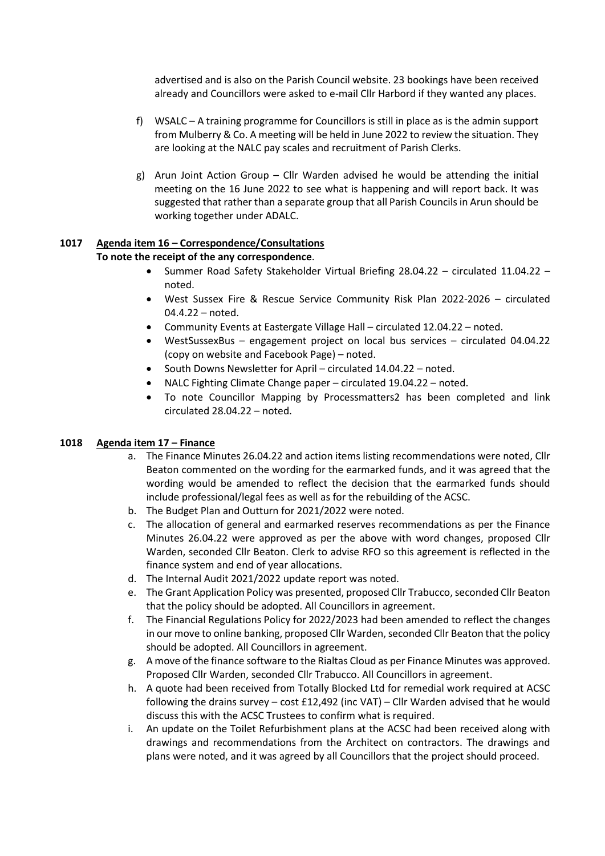advertised and is also on the Parish Council website. 23 bookings have been received already and Councillors were asked to e-mail Cllr Harbord if they wanted any places.

- f) WSALC A training programme for Councillors is still in place as is the admin support from Mulberry & Co. A meeting will be held in June 2022 to review the situation. They are looking at the NALC pay scales and recruitment of Parish Clerks.
- g) Arun Joint Action Group Cllr Warden advised he would be attending the initial meeting on the 16 June 2022 to see what is happening and will report back. It was suggested that rather than a separate group that all Parish Councils in Arun should be working together under ADALC.

#### **1017 Agenda item 16 – Correspondence/Consultations To note the receipt of the any correspondence**.

# • Summer Road Safety Stakeholder Virtual Briefing 28.04.22 – circulated 11.04.22 – noted.

- West Sussex Fire & Rescue Service Community Risk Plan 2022-2026 circulated 04.4.22 – noted.
- Community Events at Eastergate Village Hall circulated 12.04.22 noted.
- WestSussexBus engagement project on local bus services circulated 04.04.22 (copy on website and Facebook Page) – noted.
- South Downs Newsletter for April circulated 14.04.22 noted.
- NALC Fighting Climate Change paper circulated 19.04.22 noted.
- To note Councillor Mapping by Processmatters2 has been completed and link circulated 28.04.22 – noted.

# **1018 Agenda item 17 – Finance**

- a. The Finance Minutes 26.04.22 and action items listing recommendations were noted, Cllr Beaton commented on the wording for the earmarked funds, and it was agreed that the wording would be amended to reflect the decision that the earmarked funds should include professional/legal fees as well as for the rebuilding of the ACSC.
- b. The Budget Plan and Outturn for 2021/2022 were noted.
- c. The allocation of general and earmarked reserves recommendations as per the Finance Minutes 26.04.22 were approved as per the above with word changes, proposed Cllr Warden, seconded Cllr Beaton. Clerk to advise RFO so this agreement is reflected in the finance system and end of year allocations.
- d. The Internal Audit 2021/2022 update report was noted.
- e. The Grant Application Policy was presented, proposed Cllr Trabucco, seconded Cllr Beaton that the policy should be adopted. All Councillors in agreement.
- f. The Financial Regulations Policy for 2022/2023 had been amended to reflect the changes in our move to online banking, proposed Cllr Warden, seconded Cllr Beaton that the policy should be adopted. All Councillors in agreement.
- g. A move of the finance software to the Rialtas Cloud as per Finance Minutes was approved. Proposed Cllr Warden, seconded Cllr Trabucco. All Councillors in agreement.
- h. A quote had been received from Totally Blocked Ltd for remedial work required at ACSC following the drains survey – cost £12,492 (inc VAT) – Cllr Warden advised that he would discuss this with the ACSC Trustees to confirm what is required.
- i. An update on the Toilet Refurbishment plans at the ACSC had been received along with drawings and recommendations from the Architect on contractors. The drawings and plans were noted, and it was agreed by all Councillors that the project should proceed.